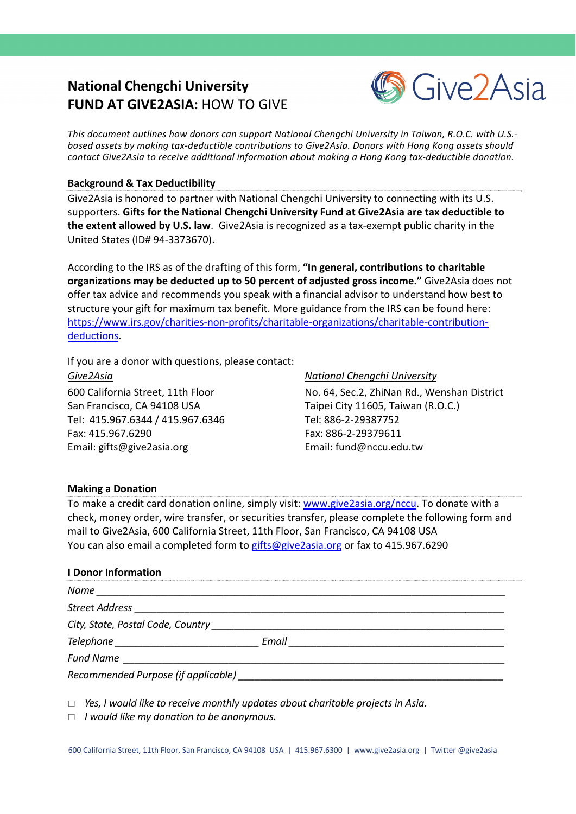# **National Chengchi University FUND AT GIVE2ASIA:** HOW TO GIVE



*This document outlines how donors can support National Chengchi University in Taiwan, R.O.C. with U.S.‐ based assets by making tax‐deductible contributions to Give2Asia. Donors with Hong Kong assets should contact Give2Asia to receive additional information about making a Hong Kong tax‐deductible donation.* 

# **Background & Tax Deductibility**

Give2Asia is honored to partner with National Chengchi University to connecting with its U.S. supporters. **Gifts for the National Chengchi University Fund at Give2Asia are tax deductible to the extent allowed by U.S. law**. Give2Asia is recognized as a tax‐exempt public charity in the United States (ID# 94‐3373670).

According to the IRS as of the drafting of this form, **"In general, contributions to charitable organizations may be deducted up to 50 percent of adjusted gross income."** Give2Asia does not offer tax advice and recommends you speak with a financial advisor to understand how best to structure your gift for maximum tax benefit. More guidance from the IRS can be found here: [https://www.irs.gov/charities](https://www.irs.gov/charities-non-profits/charitable-organizations/charitable-contribution-deductions)-non-profits/charitable-organizations/charitable-contributiondeductions.

If you are a donor with questions, please contact:

*Give2Asia National Chengchi University* San Francisco, CA 94108 USA Taipei City 11605, Taiwan (R.O.C.) Tel: 415.967.6344 / 415.967.6346 Tel: 886‐2‐29387752 Fax: 415.967.6290 Fax: 886‐2‐29379611 Email: gifts@give2asia.org Email: fund@nccu.edu.tw

600 California Street, 11th Floor No. 64, Sec.2, ZhiNan Rd., Wenshan District

# **Making a Donation**

To make a credit card donation online, simply visit: www.give2asia.org/nccu. To donate with a check, money order, wire transfer, or securities transfer, please complete the following form and mail to Give2Asia, 600 California Street, 11th Floor, San Francisco, CA 94108 USA You can also email a completed form to gifts@give2asia.org or fax to 415.967.6290

# **I Donor Information**

| Name<br><u> 1980 - Jan Barat, margaret amerikan beste beste beste beste beste beste beste beste beste beste beste beste</u> |       |
|-----------------------------------------------------------------------------------------------------------------------------|-------|
| <b>Street Address</b>                                                                                                       |       |
| City, State, Postal Code, Country                                                                                           |       |
| <i>Telephone</i> and a state of the state of the state of the state of the state of the state of the state of the sta       | Email |
| <b>Fund Name</b>                                                                                                            |       |
| Recommended Purpose (if applicable)                                                                                         |       |

*Yes, I would like to receive monthly updates about charitable projects in Asia.* 

*I would like my donation to be anonymous.*